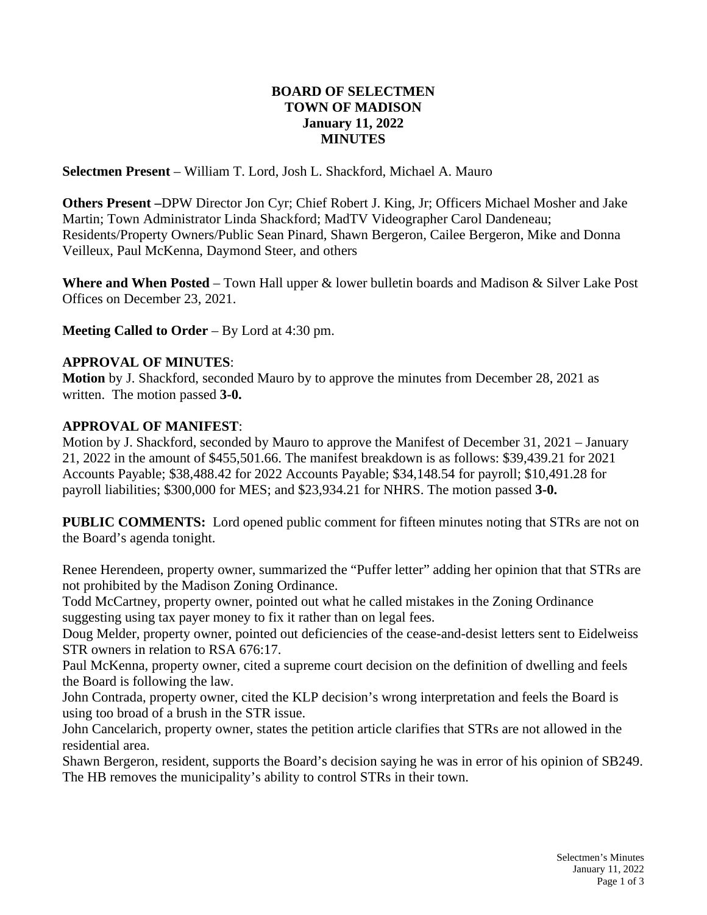## **BOARD OF SELECTMEN TOWN OF MADISON January 11, 2022 MINUTES**

**Selectmen Present** – William T. Lord, Josh L. Shackford, Michael A. Mauro

**Others Present –**DPW Director Jon Cyr; Chief Robert J. King, Jr; Officers Michael Mosher and Jake Martin; Town Administrator Linda Shackford; MadTV Videographer Carol Dandeneau; Residents/Property Owners/Public Sean Pinard, Shawn Bergeron, Cailee Bergeron, Mike and Donna Veilleux, Paul McKenna, Daymond Steer, and others

**Where and When Posted** – Town Hall upper & lower bulletin boards and Madison & Silver Lake Post Offices on December 23, 2021.

**Meeting Called to Order** – By Lord at 4:30 pm.

## **APPROVAL OF MINUTES**:

**Motion** by J. Shackford, seconded Mauro by to approve the minutes from December 28, 2021 as written. The motion passed **3-0.**

### **APPROVAL OF MANIFEST**:

Motion by J. Shackford, seconded by Mauro to approve the Manifest of December 31, 2021 – January 21, 2022 in the amount of \$455,501.66. The manifest breakdown is as follows: \$39,439.21 for 2021 Accounts Payable; \$38,488.42 for 2022 Accounts Payable; \$34,148.54 for payroll; \$10,491.28 for payroll liabilities; \$300,000 for MES; and \$23,934.21 for NHRS. The motion passed **3-0.**

**PUBLIC COMMENTS:** Lord opened public comment for fifteen minutes noting that STRs are not on the Board's agenda tonight.

Renee Herendeen, property owner, summarized the "Puffer letter" adding her opinion that that STRs are not prohibited by the Madison Zoning Ordinance.

Todd McCartney, property owner, pointed out what he called mistakes in the Zoning Ordinance suggesting using tax payer money to fix it rather than on legal fees.

Doug Melder, property owner, pointed out deficiencies of the cease-and-desist letters sent to Eidelweiss STR owners in relation to RSA 676:17.

Paul McKenna, property owner, cited a supreme court decision on the definition of dwelling and feels the Board is following the law.

John Contrada, property owner, cited the KLP decision's wrong interpretation and feels the Board is using too broad of a brush in the STR issue.

John Cancelarich, property owner, states the petition article clarifies that STRs are not allowed in the residential area.

Shawn Bergeron, resident, supports the Board's decision saying he was in error of his opinion of SB249. The HB removes the municipality's ability to control STRs in their town.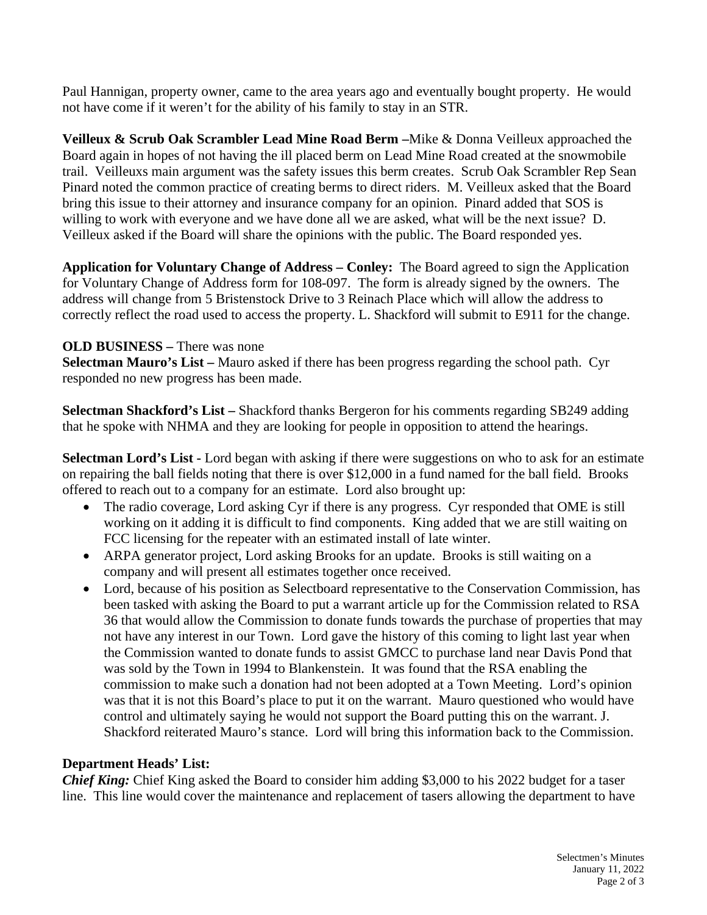Paul Hannigan, property owner, came to the area years ago and eventually bought property. He would not have come if it weren't for the ability of his family to stay in an STR.

**Veilleux & Scrub Oak Scrambler Lead Mine Road Berm –**Mike & Donna Veilleux approached the Board again in hopes of not having the ill placed berm on Lead Mine Road created at the snowmobile trail. Veilleuxs main argument was the safety issues this berm creates. Scrub Oak Scrambler Rep Sean Pinard noted the common practice of creating berms to direct riders. M. Veilleux asked that the Board bring this issue to their attorney and insurance company for an opinion. Pinard added that SOS is willing to work with everyone and we have done all we are asked, what will be the next issue? D. Veilleux asked if the Board will share the opinions with the public. The Board responded yes.

**Application for Voluntary Change of Address – Conley:** The Board agreed to sign the Application for Voluntary Change of Address form for 108-097. The form is already signed by the owners. The address will change from 5 Bristenstock Drive to 3 Reinach Place which will allow the address to correctly reflect the road used to access the property. L. Shackford will submit to E911 for the change.

### **OLD BUSINESS –** There was none

**Selectman Mauro's List –** Mauro asked if there has been progress regarding the school path. Cyr responded no new progress has been made.

**Selectman Shackford's List –** Shackford thanks Bergeron for his comments regarding SB249 adding that he spoke with NHMA and they are looking for people in opposition to attend the hearings.

**Selectman Lord's List -** Lord began with asking if there were suggestions on who to ask for an estimate on repairing the ball fields noting that there is over \$12,000 in a fund named for the ball field. Brooks offered to reach out to a company for an estimate. Lord also brought up:

- The radio coverage, Lord asking Cyr if there is any progress. Cyr responded that OME is still working on it adding it is difficult to find components. King added that we are still waiting on FCC licensing for the repeater with an estimated install of late winter.
- ARPA generator project, Lord asking Brooks for an update. Brooks is still waiting on a company and will present all estimates together once received.
- Lord, because of his position as Selectboard representative to the Conservation Commission, has been tasked with asking the Board to put a warrant article up for the Commission related to RSA 36 that would allow the Commission to donate funds towards the purchase of properties that may not have any interest in our Town. Lord gave the history of this coming to light last year when the Commission wanted to donate funds to assist GMCC to purchase land near Davis Pond that was sold by the Town in 1994 to Blankenstein. It was found that the RSA enabling the commission to make such a donation had not been adopted at a Town Meeting. Lord's opinion was that it is not this Board's place to put it on the warrant. Mauro questioned who would have control and ultimately saying he would not support the Board putting this on the warrant. J. Shackford reiterated Mauro's stance. Lord will bring this information back to the Commission.

#### **Department Heads' List:**

*Chief King:* Chief King asked the Board to consider him adding \$3,000 to his 2022 budget for a taser line. This line would cover the maintenance and replacement of tasers allowing the department to have